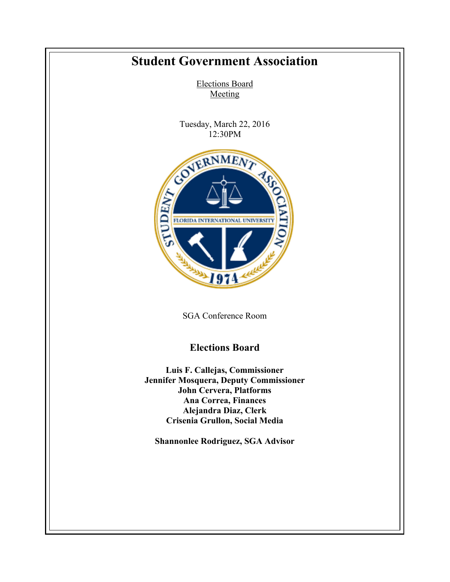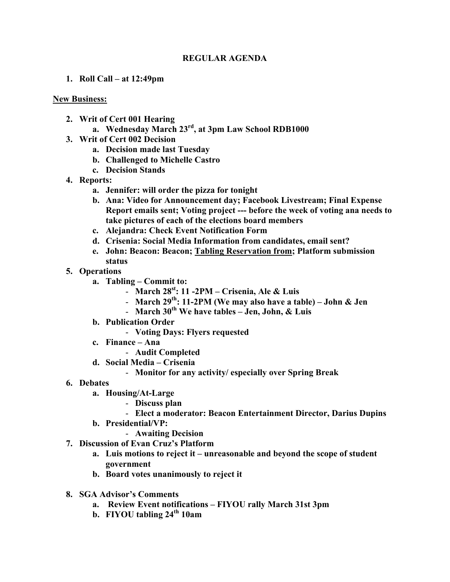## **REGULAR AGENDA**

**1. Roll Call – at 12:49pm**

## **New Business:**

- **2. Writ of Cert 001 Hearing**
	- **a. Wednesday March 23rd, at 3pm Law School RDB1000**
- **3. Writ of Cert 002 Decision**
	- **a. Decision made last Tuesday**
	- **b. Challenged to Michelle Castro**
	- **c. Decision Stands**
- **4. Reports:**
	- **a. Jennifer: will order the pizza for tonight**
	- **b. Ana: Video for Announcement day; Facebook Livestream; Final Expense Report emails sent; Voting project --- before the week of voting ana needs to take pictures of each of the elections board members**
	- **c. Alejandra: Check Event Notification Form**
	- **d. Crisenia: Social Media Information from candidates, email sent?**
	- **e. John: Beacon: Beacon; Tabling Reservation from; Platform submission status**
- **5. Operations**
	- **a. Tabling – Commit to:**
		- **March 28st: 11 -2PM – Crisenia, Ale & Luis**
		- **March 29th: 11-2PM (We may also have a table) – John & Jen**
		- **March 30th We have tables – Jen, John, & Luis**
	- **b. Publication Order**
		- **Voting Days: Flyers requested**
	- **c. Finance – Ana**
		- **Audit Completed**
	- **d. Social Media – Crisenia**
		- **Monitor for any activity/ especially over Spring Break**
- **6. Debates**
	- **a. Housing/At-Large**
		- **Discuss plan**
		- **Elect a moderator: Beacon Entertainment Director, Darius Dupins**
	- **b. Presidential/VP:**
		- **Awaiting Decision**
- **7. Discussion of Evan Cruz's Platform**
	- **a. Luis motions to reject it – unreasonable and beyond the scope of student government**
	- **b. Board votes unanimously to reject it**
- **8. SGA Advisor's Comments**
	- **a. Review Event notifications – FIYOU rally March 31st 3pm**
	- **b. FIYOU tabling 24th 10am**